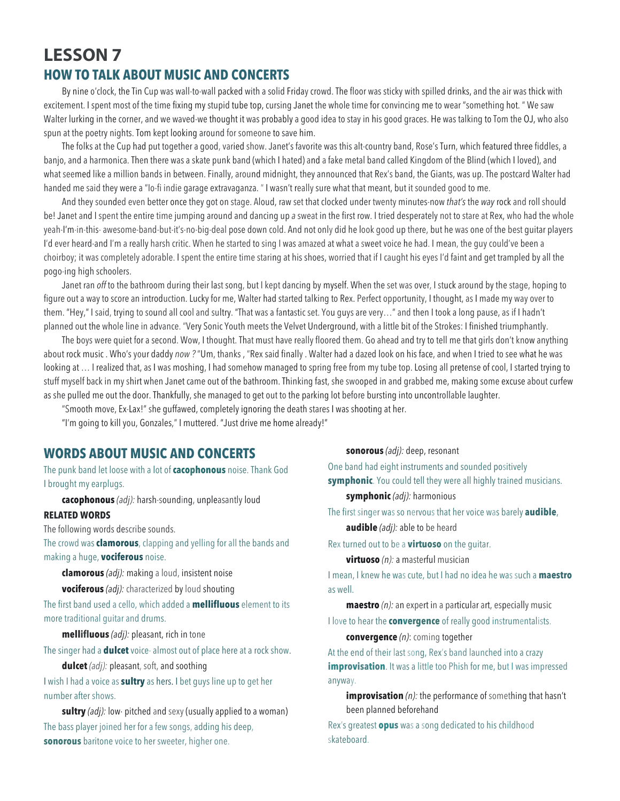# **LESSON 7 HOW TO TALK ABOUT MUSIC AND CONCERTS**

By nine o'clock, the Tin Cup was wall-to-wall packed with a solid Friday crowd. The floor was sticky with spilled drinks, and the air was thick with excitement. I spent most of the time fixing my stupid tube top, cursing Janet the whole time for convincing me to wear "something hot. " We saw Walter lurking in the corner, and we waved-we thought it was probably a good idea to stay in his good graces. He was talking to Tom the OJ, who also spun at the poetry nights. Tom kept looking around for someone to save him.

The folks at the Cup had put together a good, varied show. Janet's favorite was this alt-country band, Rose's Turn, which featured three fiddles, a banjo, and a harmonica. Then there was a skate punk band (which I hated) and a fake metal band called Kingdom of the Blind (which I loved), and what seemed like a million bands in between. Finally, around midnight, they announced that Rex's band, the Giants, was up. The postcard Walter had handed me said they were a "Io-fi indie garage extravaganza. " I wasn't really sure what that meant, but it sounded good to me.

And they sounded even better once they got on stage. Aloud, raw set that clocked under twenty minutes-now *that's* the *way* rock and roll should be! Janet and I spent the entire time jumping around and dancing up *a* sweat in the first row. I tried desperately not to stare at Rex, who had the whole yeah-I'm·in-this- awesome-band-but-it's-no-big-deal pose down cold. And not only did he look good up there, but he was one of the best guitar players I'd ever heard-and I'm a really harsh critic. When he started to sing I was amazed at what a sweet voice he had. I mean, the guy could've been a choirboy; it was completely adorable. I spent the entire time staring at his shoes, worried that if I caught his eyes I'd faint and get trampled by all the pogo-ing high schoolers.

Janet ran *off* to the bathroom during their last song, but I kept dancing by myself. When the set was over, I stuck around by the stage, hoping to figure out a way to score an introduction. Lucky for me, Walter had started talking to Rex. Perfect opportunity, I thought, as I made my way over to them. "Hey," I said, trying to sound all cool and sultry. "That was a fantastic set. You guys are very…" and then I took a long pause, as if I hadn't planned out the whole line in advance. "Very Sonic Youth meets the Velvet Underground, with a little bit of the Strokes: I finished triumphantly.

The boys were quiet for a second. Wow, I thought. That must have really floored them. Go ahead and try to tell me that girls don't know anything about rock music . Who's your daddy *now ?* "Um, thanks , "Rex said finally . Walter had a dazed look on his face, and when I tried to see what he was looking at ... I realized that, as I was moshing, I had somehow managed to spring free from my tube top. Losing all pretense of cool, I started trying to stuff myself back in my shirt when Janet came out of the bathroom. Thinking fast, she swooped in and grabbed me, making some excuse about curfew as she pulled me out the door. Thankfully, she managed to get out to the parking lot before bursting into uncontrollable laughter.

"Smooth move, Ex-Lax!" she guffawed, completely ignoring the death stares I was shooting at her.

"I'm going to kill you, Gonzales," I muttered. "Just drive me home already!"

## **WORDS ABOUT MUSIC AND CONCERTS**

The punk band let loose with a lot of **cacophonous** noise. Thank God I brought my earplugs.

**cacophonous** *(adj):* harsh-sounding, unpleasantly loud

#### **RELATED WORDS**

The following words describe sounds.

The crowd was **clamorous**, clapping and yelling for all the bands and making a huge, **vociferous** noise.

**clamorous** *(adj):* making a loud, insistent noise

**vociferous** *(adj):* characterized by loud shouting

The first band used a cello, which added a **mellifluous** element to its more traditional guitar and drums.

**mellifluous** *(adj):* pleasant, rich in tone

The singer had a **dulcet** voice- almost out of place here at a rock show.

**dulcet** *(adj):* pleasant, soft, and soothing

I wish I had a voice as **sultry** as hers. I bet guys line up to get her number after shows.

**sultry** *(adj):* low· pitched and sexy (usually applied to a woman) The bass player joined her for a few songs, adding his deep, **sonorous** baritone voice to her sweeter, higher one.

**sonorous** *(adj):* deep, resonant One band had eight instruments and sounded positively **symphonic**. You could tell they were all highly trained musicians.

**symphonic** *(adj):* harmonious

The first singer was so nervous that her voice was barely **audible**, **audible** *(adj):* able to be heard

Rex turned out to be a **virtuoso** on the guitar.

**virtuoso** *(n):* a masterful musician

I mean, I knew he was cute, but I had no idea he was such a **maestro** as well.

**maestro** *(n):* an expert in a particular art, especially music

I love to hear the **convergence** of really good instrumentalists.

**convergence** *(n)*: coming together

At the end of their last song, Rex's band launched into a crazy **improvisation**. It was a little too Phish for me, but I was impressed anyway.

**improvisation** (n): the performance of something that hasn't been planned beforehand

Rex's greatest **opus** was a song dedicated to his childhood skateboard.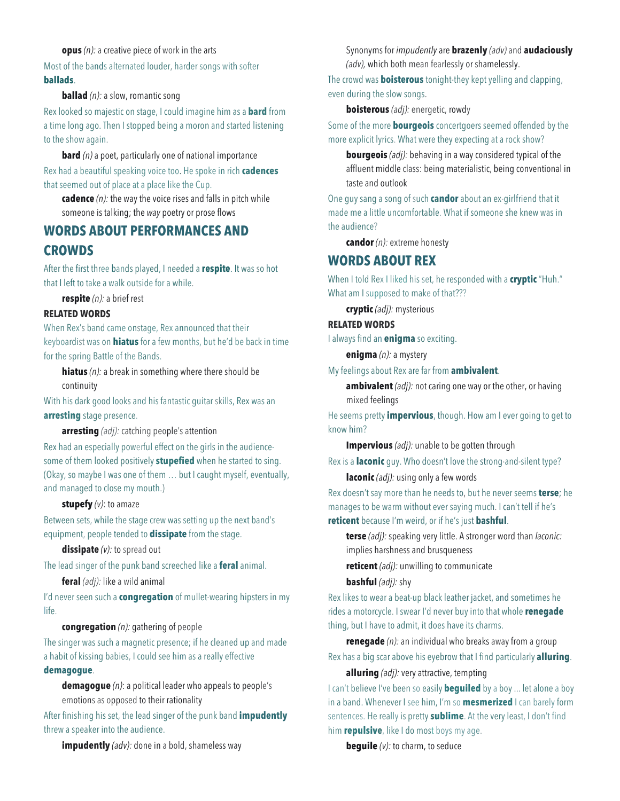**opus** *(n):* a creative piece of work in the arts

Most of the bands alternated louder, harder songs with softer **ballads**.

#### **ballad** (n): a slow, romantic song

Rex looked so majestic on stage, I could imagine him as a **bard** from a time long ago. Then I stopped being a moron and started listening to the show again.

**bard** *(n)* a poet, particularly one of national importance Rex had a beautiful speaking voice too. He spoke in rich **cadences** that seemed out of place at a place like the Cup.

**cadence** *(n):* the way the voice rises and falls in pitch while someone is talking; the *way* poetry or prose flows

## **WORDS ABOUT PERFORMANCES AND CROWDS**

After the first three bands played, I needed a **respite**. It was so hot that I left to take a walk outside for a while.

**respite** *(n):* a brief rest

#### **RELATED WORDS**

When Rex's band came onstage, Rex announced that their keyboardist was on **hiatus** for a few months, but he'd be back in time for the spring Battle of the Bands.

**hiatus** *(n):* a break in something where there should be continuity

With his dark good looks and his fantastic guitar skills, Rex was an **arresting** stage presence.

**arresting** *(adj):* catching people's attention

Rex had an especially powerful effect on the girls in the audiencesome of them looked positively **stupefied** when he started to sing. (Okay, so maybe I was one of them … but I caught myself, eventually, and managed to close my mouth.)

#### **stupefy** *(v)*: to amaze

Between sets, while the stage crew was setting up the next band's equipment, people tended to **dissipate** from the stage.

**dissipate** *(v):* to spread out

The lead singer of the punk band screeched like a **feral** animal.

**feral** *(adj):* like a wild animal

I'd never seen such a **congregation** of mullet-wearing hipsters in my life.

#### **congregation** *(n):* gathering of people

The singer was such a magnetic presence; if he cleaned up and made a habit of kissing babies, I could see him as a really effective **demagogue**.

**demagogue** *(n)*: a political leader who appeals to people's emotions as opposed to their rationality

After finishing his set, the lead singer of the punk band **impudently** threw a speaker into the audience.

**impudently** *(adv):* done in a bold, shameless way

Synonyms for *impudently* are **brazenly** *(adv)* and **audaciously** *(adv),* which both mean fearlessly or shamelessly.

The crowd was **boisterous** tonight-they kept yelling and clapping, even during the slow songs.

**boisterous** *(adj):* energetic, rowdy

Some of the more **bourgeois** concertgoers seemed offended by the more explicit lyrics. What were they expecting at a rock show?

**bourgeois** *(adj):* behaving in a way considered typical of the affluent middle class: being materialistic, being conventional in taste and outlook

One guy sang a song of such **candor** about an ex-girlfriend that it made me a little uncomfortable. What if someone she knew was in the audience?

**candor** *(n):* extreme honesty

## **WORDS ABOUT REX**

When I told Rex I liked his set, he responded with a **cryptic** "Huh." What am I supposed to make of that???

**cryptic** *(adj):* mysterious

#### **RELATED WORDS**

I always find an **enigma** so exciting.

**enigma** *(n):* a mystery

My feelings about Rex are far from **ambivalent**.

**ambivalent** *(adj):* not caring one way or the other, or having mixed feelings

He seems pretty **impervious**, though. How am I ever going to get to know him?

**Impervious** *(adj):* unable to be gotten through

Rex is a **laconic** guy. Who doesn't love the strong·and-silent type?

### **laconic** *(adj):* using only a few words

Rex doesn't say more than he needs to, but he never seems **terse**; he manages to be warm without ever saying much. I can't tell if he's **reticent** because I'm weird, or if he's just **bashful**.

**terse** *(adj):* speaking very little. A stronger word than *laconic:*  implies harshness and brusqueness

**reticent** *(adj):* unwilling to communicate

**bashful** *(adj):* shy

Rex likes to wear a beat-up black leather jacket, and sometimes he rides a motorcycle. I swear I'd never buy into that whole **renegade** thing, but I have to admit, it does have its charms.

**renegade** *(n):* an individual who breaks away from a group Rex has a big scar above his eyebrow that I find particularly **alluring**.

#### **alluring** *(adj):* very attractive, tempting

I can't believe I've been so easily **beguiled** by a boy ... let alone a boy in a band. Whenever I see him, I'm so **mesmerized** I can barely form sentences. He really is pretty **sublime**. At the very least, I don't find him **repulsive**, like I do most boys my age.

**beguile** *(v):* to charm, to seduce